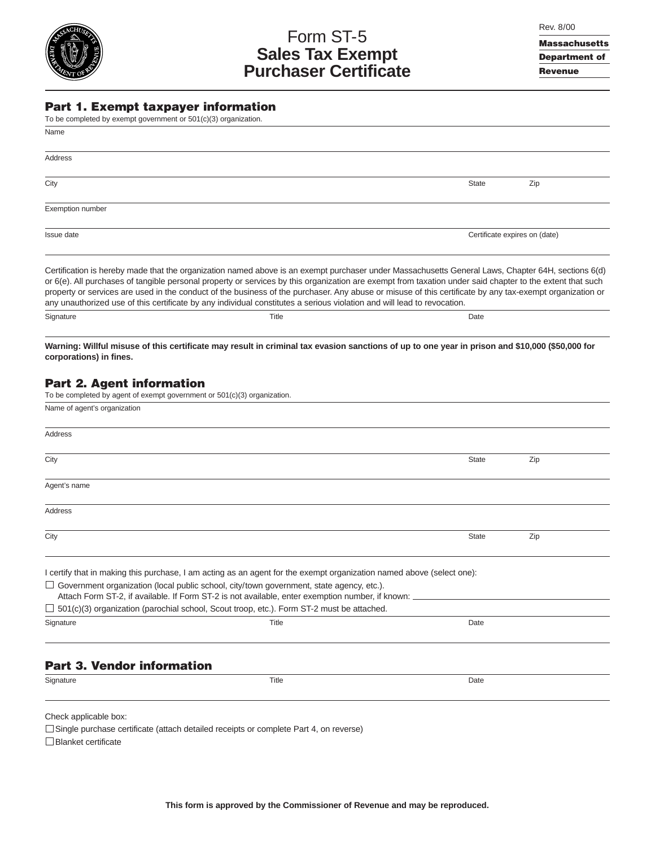# Form ST-5 **Sales Tax Exempt Purchaser Certificate**

Massachusetts Department of Revenue

#### Part 1. Exempt taxpayer information

| To be completed by exempt government or 501(c)(3) organization.                                                                                                                                                                                                                                                                                                                                                                                                                                                                                                                                        |              |                               |  |  |
|--------------------------------------------------------------------------------------------------------------------------------------------------------------------------------------------------------------------------------------------------------------------------------------------------------------------------------------------------------------------------------------------------------------------------------------------------------------------------------------------------------------------------------------------------------------------------------------------------------|--------------|-------------------------------|--|--|
| Name                                                                                                                                                                                                                                                                                                                                                                                                                                                                                                                                                                                                   |              |                               |  |  |
| Address                                                                                                                                                                                                                                                                                                                                                                                                                                                                                                                                                                                                |              |                               |  |  |
| City                                                                                                                                                                                                                                                                                                                                                                                                                                                                                                                                                                                                   | <b>State</b> | Zip                           |  |  |
| Exemption number                                                                                                                                                                                                                                                                                                                                                                                                                                                                                                                                                                                       |              |                               |  |  |
| Issue date                                                                                                                                                                                                                                                                                                                                                                                                                                                                                                                                                                                             |              | Certificate expires on (date) |  |  |
| Certification is hereby made that the organization named above is an exempt purchaser under Massachusetts General Laws, Chapter 64H, sections 6(d)<br>or 6(e). All purchases of tangible personal property or services by this organization are exempt from taxation under said chapter to the extent that such<br>property or services are used in the conduct of the business of the purchaser. Any abuse or misuse of this certificate by any tax-exempt organization or<br>any unauthorized use of this certificate by any individual constitutes a serious violation and will lead to revocation. |              |                               |  |  |

**Warning: Willful misuse of this certificate may result in criminal tax evasion sanctions of up to one year in prison and \$10,000 (\$50,000 for corporations) in fines.**

Signature Date Date of the Contract of the Contract of Title Contract of the Date Date Date Date Date Date Date

# Part 2. Agent information

| To be completed by agent of exempt government or $501(c)(3)$ organization. |                                                                                                                                                                                                     |              |     |
|----------------------------------------------------------------------------|-----------------------------------------------------------------------------------------------------------------------------------------------------------------------------------------------------|--------------|-----|
| Name of agent's organization                                               |                                                                                                                                                                                                     |              |     |
| Address                                                                    |                                                                                                                                                                                                     |              |     |
| City                                                                       |                                                                                                                                                                                                     | <b>State</b> | Zip |
| Agent's name                                                               |                                                                                                                                                                                                     |              |     |
| Address                                                                    |                                                                                                                                                                                                     |              |     |
| City                                                                       |                                                                                                                                                                                                     | <b>State</b> | Zip |
|                                                                            | I certify that in making this purchase, I am acting as an agent for the exempt organization named above (select one):                                                                               |              |     |
|                                                                            | $\Box$ Government organization (local public school, city/town government, state agency, etc.).<br>Attach Form ST-2, if available. If Form ST-2 is not available, enter exemption number, if known: |              |     |
|                                                                            | $\Box$ 501(c)(3) organization (parochial school, Scout troop, etc.). Form ST-2 must be attached.                                                                                                    |              |     |
| Signature                                                                  | Title                                                                                                                                                                                               | Date         |     |
|                                                                            |                                                                                                                                                                                                     |              |     |
|                                                                            |                                                                                                                                                                                                     |              |     |

# Part 3. Vendor information

Signature Date Date of the Second Contract of the Contract of Title Contract of the Date Date Date Date Date o

Check applicable box:

□ Single purchase certificate (attach detailed receipts or complete Part 4, on reverse)

Blanket certificate